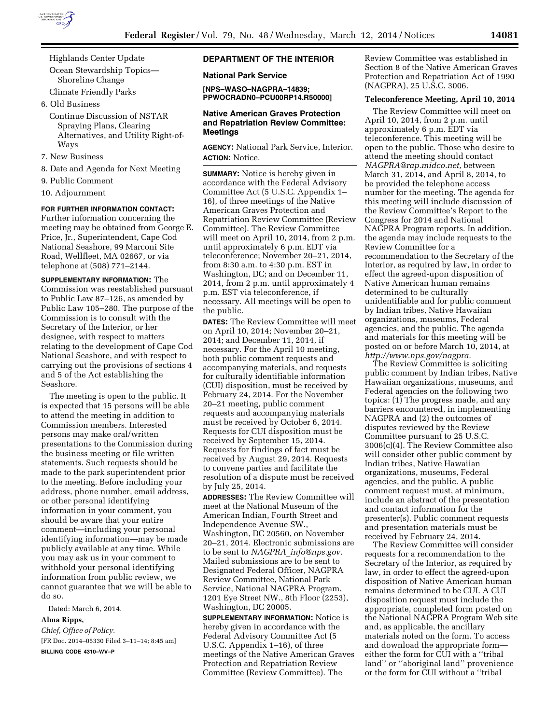

Highlands Center Update

Ocean Stewardship Topics— Shoreline Change

Climate Friendly Parks

6. Old Business

Continue Discussion of NSTAR Spraying Plans, Clearing Alternatives, and Utility Right-of-Ways

- 7. New Business
- 8. Date and Agenda for Next Meeting
- 9. Public Comment
- 10. Adjournment

# **FOR FURTHER INFORMATION CONTACT:**

Further information concerning the meeting may be obtained from George E. Price, Jr., Superintendent, Cape Cod National Seashore, 99 Marconi Site Road, Wellfleet, MA 02667, or via telephone at (508) 771–2144.

**SUPPLEMENTARY INFORMATION:** The Commission was reestablished pursuant to Public Law 87–126, as amended by Public Law 105–280. The purpose of the Commission is to consult with the Secretary of the Interior, or her designee, with respect to matters relating to the development of Cape Cod National Seashore, and with respect to carrying out the provisions of sections 4 and 5 of the Act establishing the Seashore.

The meeting is open to the public. It is expected that 15 persons will be able to attend the meeting in addition to Commission members. Interested persons may make oral/written presentations to the Commission during the business meeting or file written statements. Such requests should be made to the park superintendent prior to the meeting. Before including your address, phone number, email address, or other personal identifying information in your comment, you should be aware that your entire comment—including your personal identifying information—may be made publicly available at any time. While you may ask us in your comment to withhold your personal identifying information from public review, we cannot guarantee that we will be able to do so.

Dated: March 6, 2014.

#### **Alma Ripps,**

*Chief, Office of Policy.*  [FR Doc. 2014–05330 Filed 3–11–14; 8:45 am]

**BILLING CODE 4310–WV–P** 

## **DEPARTMENT OF THE INTERIOR**

**National Park Service** 

**[NPS–WASO–NAGPRA–14839; PPWOCRADN0–PCU00RP14.R50000]** 

## **Native American Graves Protection and Repatriation Review Committee: Meetings**

**AGENCY:** National Park Service, Interior. **ACTION:** Notice.

**SUMMARY:** Notice is hereby given in accordance with the Federal Advisory Committee Act (5 U.S.C. Appendix 1– 16), of three meetings of the Native American Graves Protection and Repatriation Review Committee (Review Committee). The Review Committee will meet on April 10, 2014, from 2 p.m. until approximately 6 p.m. EDT via teleconference; November 20–21, 2014, from 8:30 a.m. to 4:30 p.m. EST in Washington, DC; and on December 11, 2014, from 2 p.m. until approximately 4 p.m. EST via teleconference, if necessary. All meetings will be open to the public.

**DATES:** The Review Committee will meet on April 10, 2014; November 20–21, 2014; and December 11, 2014, if necessary. For the April 10 meeting, both public comment requests and accompanying materials, and requests for culturally identifiable information (CUI) disposition, must be received by February 24, 2014. For the November 20–21 meeting, public comment requests and accompanying materials must be received by October 6, 2014. Requests for CUI disposition must be received by September 15, 2014. Requests for findings of fact must be received by August 29, 2014. Requests to convene parties and facilitate the resolution of a dispute must be received by July 25, 2014.

**ADDRESSES:** The Review Committee will meet at the National Museum of the American Indian, Fourth Street and Independence Avenue SW., Washington, DC 20560, on November 20–21, 2014. Electronic submissions are to be sent to *NAGPRA*\_*[info@nps.gov.](mailto:NAGPRA_info@nps.gov)*  Mailed submissions are to be sent to Designated Federal Officer, NAGPRA Review Committee, National Park Service, National NAGPRA Program, 1201 Eye Street NW., 8th Floor (2253), Washington, DC 20005.

**SUPPLEMENTARY INFORMATION:** Notice is hereby given in accordance with the Federal Advisory Committee Act (5 U.S.C. Appendix 1–16), of three meetings of the Native American Graves Protection and Repatriation Review Committee (Review Committee). The

Review Committee was established in Section 8 of the Native American Graves Protection and Repatriation Act of 1990 (NAGPRA), 25 U.S.C. 3006.

#### **Teleconference Meeting, April 10, 2014**

The Review Committee will meet on April 10, 2014, from 2 p.m. until approximately 6 p.m. EDT via teleconference. This meeting will be open to the public. Those who desire to attend the meeting should contact *[NAGPRA@rap.midco.net,](mailto:NAGPRA@rap.midco.net)* between March 31, 2014, and April 8, 2014, to be provided the telephone access number for the meeting. The agenda for this meeting will include discussion of the Review Committee's Report to the Congress for 2014 and National NAGPRA Program reports. In addition, the agenda may include requests to the Review Committee for a recommendation to the Secretary of the Interior, as required by law, in order to effect the agreed-upon disposition of Native American human remains determined to be culturally unidentifiable and for public comment by Indian tribes, Native Hawaiian organizations, museums, Federal agencies, and the public. The agenda and materials for this meeting will be posted on or before March 10, 2014, at *[http://www.nps.gov/nagpra.](http://www.nps.gov/nagpra)* 

The Review Committee is soliciting public comment by Indian tribes, Native Hawaiian organizations, museums, and Federal agencies on the following two topics: (1) The progress made, and any barriers encountered, in implementing NAGPRA and (2) the outcomes of disputes reviewed by the Review Committee pursuant to 25 U.S.C. 3006(c)(4). The Review Committee also will consider other public comment by Indian tribes, Native Hawaiian organizations, museums, Federal agencies, and the public. A public comment request must, at minimum, include an abstract of the presentation and contact information for the presenter(s). Public comment requests and presentation materials must be received by February 24, 2014.

The Review Committee will consider requests for a recommendation to the Secretary of the Interior, as required by law, in order to effect the agreed-upon disposition of Native American human remains determined to be CUI. A CUI disposition request must include the appropriate, completed form posted on the National NAGPRA Program Web site and, as applicable, the ancillary materials noted on the form. To access and download the appropriate form either the form for CUI with a ''tribal land'' or ''aboriginal land'' provenience or the form for CUI without a ''tribal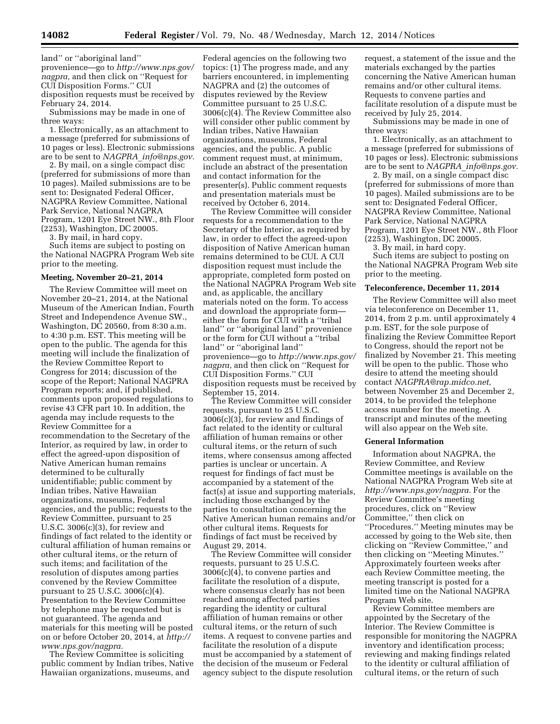land'' or ''aboriginal land'' provenience—go to *[http://www.nps.gov/](http://www.nps.gov/nagpra) [nagpra,](http://www.nps.gov/nagpra)* and then click on ''Request for CUI Disposition Forms.'' CUI disposition requests must be received by February 24, 2014.

Submissions may be made in one of three ways:

1. Electronically, as an attachment to a message (preferred for submissions of 10 pages or less). Electronic submissions are to be sent to *NAGPRA*\_*[info@nps.gov.](mailto:NAGPRA_info@nps.gov)* 

2. By mail, on a single compact disc (preferred for submissions of more than 10 pages). Mailed submissions are to be sent to: Designated Federal Officer, NAGPRA Review Committee, National Park Service, National NAGPRA Program, 1201 Eye Street NW., 8th Floor (2253), Washington, DC 20005.

3. By mail, in hard copy.

Such items are subject to posting on the National NAGPRA Program Web site prior to the meeting.

### **Meeting, November 20–21, 2014**

The Review Committee will meet on November 20–21, 2014, at the National Museum of the American Indian, Fourth Street and Independence Avenue SW., Washington, DC 20560, from 8:30 a.m. to 4:30 p.m. EST. This meeting will be open to the public. The agenda for this meeting will include the finalization of the Review Committee Report to Congress for 2014; discussion of the scope of the Report; National NAGPRA Program reports; and, if published, comments upon proposed regulations to revise 43 CFR part 10. In addition, the agenda may include requests to the Review Committee for a recommendation to the Secretary of the Interior, as required by law, in order to effect the agreed-upon disposition of Native American human remains determined to be culturally unidentifiable; public comment by Indian tribes, Native Hawaiian organizations, museums, Federal agencies, and the public; requests to the Review Committee, pursuant to 25 U.S.C. 3006(c)(3), for review and findings of fact related to the identity or cultural affiliation of human remains or other cultural items, or the return of such items; and facilitation of the resolution of disputes among parties convened by the Review Committee pursuant to 25 U.S.C. 3006(c)(4). Presentation to the Review Committee by telephone may be requested but is not guaranteed. The agenda and materials for this meeting will be posted on or before October 20, 2014, at *[http://](http://www.nps.gov/nagpra) [www.nps.gov/nagpra.](http://www.nps.gov/nagpra)* 

The Review Committee is soliciting public comment by Indian tribes, Native Hawaiian organizations, museums, and

Federal agencies on the following two topics: (1) The progress made, and any barriers encountered, in implementing NAGPRA and (2) the outcomes of disputes reviewed by the Review Committee pursuant to 25 U.S.C. 3006(c)(4). The Review Committee also will consider other public comment by Indian tribes, Native Hawaiian organizations, museums, Federal agencies, and the public. A public comment request must, at minimum, include an abstract of the presentation and contact information for the presenter(s). Public comment requests and presentation materials must be received by October 6, 2014.

The Review Committee will consider requests for a recommendation to the Secretary of the Interior, as required by law, in order to effect the agreed-upon disposition of Native American human remains determined to be CUI. A CUI disposition request must include the appropriate, completed form posted on the National NAGPRA Program Web site and, as applicable, the ancillary materials noted on the form. To access and download the appropriate form either the form for CUI with a ''tribal land'' or ''aboriginal land'' provenience or the form for CUI without a ''tribal land'' or ''aboriginal land'' provenience—go to *[http://www.nps.gov/](http://www.nps.gov/nagpra) [nagpra,](http://www.nps.gov/nagpra)* and then click on ''Request for CUI Disposition Forms.'' CUI disposition requests must be received by September 15, 2014.

The Review Committee will consider requests, pursuant to 25 U.S.C. 3006(c)(3), for review and findings of fact related to the identity or cultural affiliation of human remains or other cultural items, or the return of such items, where consensus among affected parties is unclear or uncertain. A request for findings of fact must be accompanied by a statement of the fact(s) at issue and supporting materials, including those exchanged by the parties to consultation concerning the Native American human remains and/or other cultural items. Requests for findings of fact must be received by August 29, 2014.

The Review Committee will consider requests, pursuant to 25 U.S.C. 3006(c)(4), to convene parties and facilitate the resolution of a dispute, where consensus clearly has not been reached among affected parties regarding the identity or cultural affiliation of human remains or other cultural items, or the return of such items. A request to convene parties and facilitate the resolution of a dispute must be accompanied by a statement of the decision of the museum or Federal agency subject to the dispute resolution request, a statement of the issue and the materials exchanged by the parties concerning the Native American human remains and/or other cultural items. Requests to convene parties and facilitate resolution of a dispute must be received by July 25, 2014.

Submissions may be made in one of three ways:

1. Electronically, as an attachment to a message (preferred for submissions of 10 pages or less). Electronic submissions are to be sent to *NAGPRA*\_*[info@nps.gov.](mailto:NAGPRA_info@nps.gov)* 

2. By mail, on a single compact disc (preferred for submissions of more than 10 pages). Mailed submissions are to be sent to: Designated Federal Officer, NAGPRA Review Committee, National Park Service, National NAGPRA Program, 1201 Eye Street NW., 8th Floor (2253), Washington, DC 20005.

3. By mail, in hard copy.

Such items are subject to posting on the National NAGPRA Program Web site prior to the meeting.

#### **Teleconference, December 11, 2014**

The Review Committee will also meet via teleconference on December 11, 2014, from 2 p.m. until approximately 4 p.m. EST, for the sole purpose of finalizing the Review Committee Report to Congress, should the report not be finalized by November 21. This meeting will be open to the public. Those who desire to attend the meeting should contact *[NAGPRA@rap.midco.net,](mailto:NAGPRA@rap.midco.net)*  between November 25 and December 2, 2014, to be provided the telephone access number for the meeting. A transcript and minutes of the meeting will also appear on the Web site.

#### **General Information**

Information about NAGPRA, the Review Committee, and Review Committee meetings is available on the National NAGPRA Program Web site at *[http://www.nps.gov/nagpra.](http://www.nps.gov/nagpra)* For the Review Committee's meeting procedures, click on ''Review Committee,'' then click on ''Procedures.'' Meeting minutes may be accessed by going to the Web site, then clicking on ''Review Committee,'' and then clicking on ''Meeting Minutes.'' Approximately fourteen weeks after each Review Committee meeting, the meeting transcript is posted for a limited time on the National NAGPRA Program Web site.

Review Committee members are appointed by the Secretary of the Interior. The Review Committee is responsible for monitoring the NAGPRA inventory and identification process; reviewing and making findings related to the identity or cultural affiliation of cultural items, or the return of such